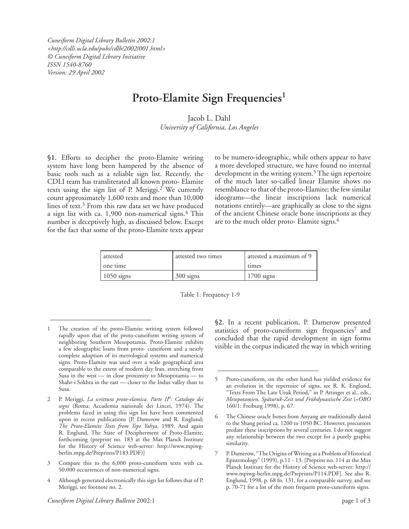*Cuneiform Digital Library Bulletin 2002:1 <http://cdli.ucla.edu/pubs/cdlb/2002/001.html> © Cuneiform Digital Library Initiative ISSN 1540-8760 Version: 29 April 2002*

## **Proto-Elamite Sign Frequencies1**

Jacob L. Dahl *University of California, Los Angeles*

**§1.** Efforts to decipher the proto-Elamite writing system have long been hampered by the absence of basic tools such as a reliable sign list. Recently, the CDLI team has transliterated all known proto- Elamite texts using the sign list of P. Meriggi.<sup>2</sup> We currently count approximately 1,600 texts and more than 10,000 lines of text.3 From this raw data set we have produced a sign list with ca. 1,900 non-numerical signs.4 This number is deceptively high, as discussed below. Except for the fact that some of the proto-Elamite texts appear to be numero-ideographic, while others appear to have a more developed structure, we have found no internal development in the writing system.5 The sign repertoire of the much later so-called linear Elamite shows no resemblance to that of the proto-Elamite; the few similar ideograms—the linear inscriptions lack numerical notations entirely—are graphically as close to the signs of the ancient Chinese oracle bone inscriptions as they are to the much older proto- Elamite signs.<sup>6</sup>

| attested<br>one time | attested two times | attested a maximum of 9<br>times |
|----------------------|--------------------|----------------------------------|
| $1050$ signs         | 300 signs          | $1700$ signs                     |

Table 1: Frequency 1-9

- Compare this to the 6,000 proto-cuneiform texts with ca. 50,000 occurrences of non-numerical signs.
- 4 Although generated electronically this sign list follows that of P. Meriggi, see footnote no. 2.

§2. In a recent publication, P. Damerow presented statistics of proto-cuneiform sign frequencies<sup>7</sup> and concluded that the rapid development in sign forms visible in the corpus indicated the way in which writing

The creation of the proto-Elamite writing system followed rapidly upon that of the proto-cuneiform writing system of neighboring Southern Mesopotamia. Proto-Elamite exhibits a few ideographic loans from proto- cuneiform and a nearly complete adoption of its metrological systems and numerical signs. Proto-Elamite was used over a wide geographical area comparable to the extent of modern day Iran, stretching from Susa in the west — in close proximity to Mesopotamia — to Shahr-i Sokhta in the east — closer to the Indus valley than to Susa.

<sup>2</sup> P. Meriggi, *La scrittura proto-elamica. Parte II<sup>a</sup> : Catalogo dei segni* (Roma: Accademia nazionale dei Lincei, 1974). The problems faced in using this sign list have been commented upon in recent publications [P. Damerow and R. Englund; *The Proto-Elamite Texts from Tepe Yahya*, 1989. And again R. Englund, The State of Decipherment of Proto-Elamite, forthcoming (preprint no. 183 at the Max Planck Institute for the History of Science web-server: http://www.mpiwgberlin.mpg.de/Preprints/P183.PDF)]

<sup>5</sup> Proto-cuneiform, on the other hand has yielded evidence for an evolution in the repertoire of signs, see R. K. Englund, "Texts From The Late Uruk Period," in P. Attinger et al., eds., *Mesopotamien, Späturuk-Zeit und Frühdynastische Zeit* (=*OBO*  160/1: Freiburg 1998), p. 67.

<sup>6</sup> The Chinese oracle bones from Anyang are traditionally dated to the Shang period ca. 1200 to 1050 BC. However, precursors predate these inscriptions by several centuries. I do not suggest any relationship between the two except for a purely graphic similarity.

<sup>7</sup> P. Damerow, "The Origins of Writing as a Problem of Historical Epistemology" (1999), p.11 - 13. [Preprint no. 114 at the Max Planck Institute for the History of Science web-server: http:// www.mpiwg-berlin.mpg.de/Preprints/P114.PDF]. See also R. Englund, 1998, p. 68 fn. 131, for a comparable survey, and see p. 70-71 for a list of the most frequent proto-cuneiform signs.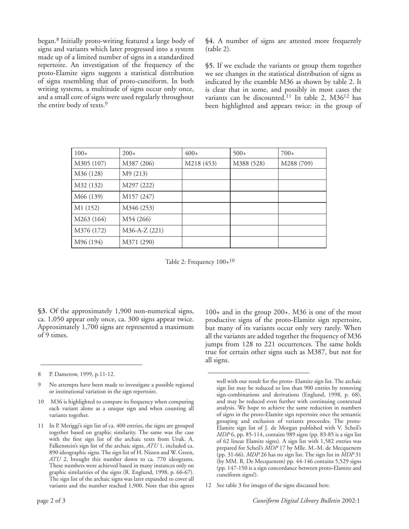began.8 Initially proto-writing featured a large body of signs and variants which later progressed into a system made up of a limited number of signs in a standardized repertoire. An investigation of the frequency of the proto-Elamite signs suggests a statistical distribution of signs resembling that of proto-cuneiform. In both writing systems, a multitude of signs occur only once, and a small core of signs were used regularly throughout the entire body of texts.9

**§4.** A number of signs are attested more frequently (table 2).

**§5.** If we exclude the variants or group them together we see changes in the statistical distribution of signs as indicated by the examble M36 as shown by table 2. It is clear that in some, and possibly in most cases the variants can be discounted.<sup>11</sup> In table 2, M36<sup>12</sup> has been highlighted and appears twice: in the group of

| $100+$     | $200+$        | $400+$     | $500+$     | $700+$     |
|------------|---------------|------------|------------|------------|
| M305 (107) | M387 (206)    | M218 (453) | M388 (528) | M288 (709) |
| M36 (128)  | M9 (213)      |            |            |            |
| M32 (132)  | M297 (222)    |            |            |            |
| M66 (139)  | M157 (247)    |            |            |            |
| M1 (152)   | M346 (253)    |            |            |            |
| M263 (164) | M54 (266)     |            |            |            |
| M376 (172) | M36-A-Z (221) |            |            |            |
| M96 (194)  | M371 (290)    |            |            |            |

Table 2: Frequency  $100+^{10}$ 

**§3.** Of the approximately 1,900 non-numerical signs, ca. 1,050 appear only once, ca. 300 signs appear twice. Approximately 1,700 signs are represented a maximum of 9 times.

- 8 P. Damerow, 1999, p.11-12.
- 9 No attempts have been made to investigate a possible regional or institutional variation in the sign repertoire.
- 10 M36 is highlighted to compare its frequency when computing each variant alone as a unique sign and when counting all variants together.
- 11 In P. Meriggi's sign list of ca. 400 entries, the signs are grouped together based on graphic similarity. The same was the case with the first sign list of the archaic texts from Uruk. A. Falkenstein's sign list of the archaic signs, *ATU* 1, included ca. 890 ideographic signs. The sign list of H. Nissen and W. Green, *ATU* 2, brought this number down to ca. 770 ideograms. These numbers were achieved based in many instances only on graphic similarities of the signs (R. Englund, 1998, p. 66-67). The sign list of the archaic signs was later expanded to cover all variants and the number reached 1,900. Note that this agrees

100+ and in the group 200+. M36 is one of the most productive signs of the proto-Elamite sign repertoire, but many of its variants occur only very rarely. When all the variants are added together the frequency of M36 jumps from 128 to 221 occurrences. The same holds true for certain other signs such as M387, but not for all signs.

12 See table 3 for images of the signs discussed here.

well with our result for the proto- Elamite sign list. The archaic sign list may be reduced to less than 900 entries by removing sign-combinations and derivations (Englund, 1998, p. 68), and may be reduced even further with continuing contextual analysis. We hope to achieve the same reduction in numbers of signs in the proto-Elamite sign repertoire once the semantic grouping and exclusion of variants proceedes. The proto-Elamite sign list of J. de Morgan published with V. Scheil's *MDP* 6, pp. 85-114, contains 989 signs (pp. 83-85 is a sign list of 62 linear Elamite signs). A sign list with 1,582 entries was prepared for Scheil's *MDP* 17 by Mlle. M.-M. de Mecquenem (pp. 31-66). *MDP* 26 has no sign list. The sign list in *MDP* 31 (by MM. R. De Mecquenem) pp. 44-146 contains 5,529 signs (pp. 147-150 is a sign concordance between proto-Elamite and cuneiform signs!).